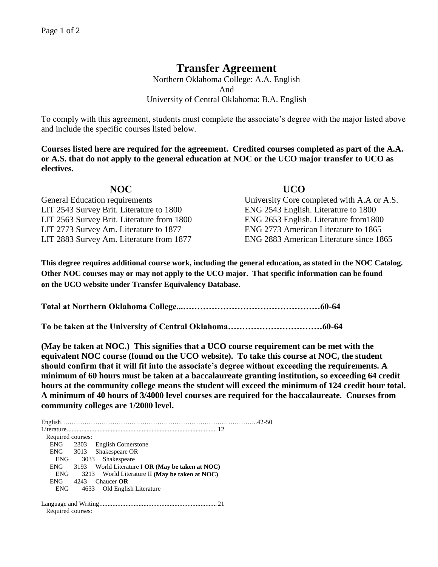## **Transfer Agreement**

Northern Oklahoma College: A.A. English And University of Central Oklahoma: B.A. English

To comply with this agreement, students must complete the associate's degree with the major listed above and include the specific courses listed below.

**Courses listed here are required for the agreement. Credited courses completed as part of the A.A. or A.S. that do not apply to the general education at NOC or the UCO major transfer to UCO as electives.**

| NOC.                                       | <b>UCO</b>                                 |
|--------------------------------------------|--------------------------------------------|
| <b>General Education requirements</b>      | University Core completed with A.A or A.S. |
| LIT 2543 Survey Brit. Literature to 1800   | ENG 2543 English. Literature to 1800       |
| LIT 2563 Survey Brit. Literature from 1800 | ENG 2653 English. Literature from 1800     |
| LIT 2773 Survey Am. Literature to 1877     | ENG 2773 American Literature to 1865       |
| LIT 2883 Survey Am. Literature from 1877   | ENG 2883 American Literature since 1865    |

**This degree requires additional course work, including the general education, as stated in the NOC Catalog. Other NOC courses may or may not apply to the UCO major. That specific information can be found on the UCO website under Transfer Equivalency Database.**

**Total at Northern Oklahoma College...…………………………………………60-64**

**To be taken at the University of Central Oklahoma……………………………60-64**

**(May be taken at NOC.) This signifies that a UCO course requirement can be met with the equivalent NOC course (found on the UCO website). To take this course at NOC, the student should confirm that it will fit into the associate's degree without exceeding the requirements. A minimum of 60 hours must be taken at a baccalaureate granting institution, so exceeding 64 credit hours at the community college means the student will exceed the minimum of 124 credit hour total. A minimum of 40 hours of 3/4000 level courses are required for the baccalaureate. Courses from community colleges are 1/2000 level.**

English………………………………………………………………………………..42-50 Literature............................................................................................ 12 Required courses: ENG 2303 English Cornerstone ENG 3013 Shakespeare OR ENG 3033 Shakespeare ENG 3193 World Literature I **OR (May be taken at NOC)** ENG 3213 World Literature II **(May be taken at NOC)** ENG 4243 Chaucer **OR** ENG 4633 Old English Literature Language and Writing........................................................................ 21 Required courses: